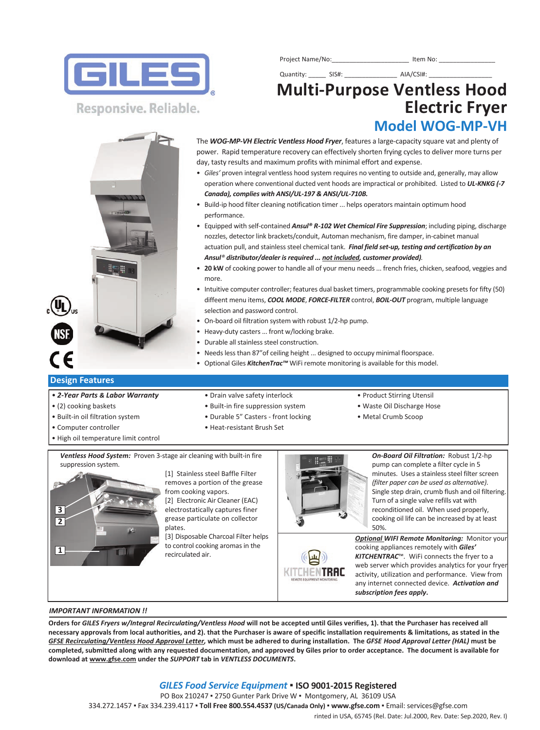

Project Name/No:\_\_\_\_\_\_\_\_\_\_\_\_\_\_\_\_\_\_\_\_\_\_ Item No: \_\_\_\_\_\_\_\_\_\_\_\_\_\_\_\_

## Quantity: \_\_\_\_\_ SIS#: \_\_\_\_\_\_\_\_\_\_\_\_\_\_\_ AIA/CSI#: \_\_\_\_\_\_\_\_\_\_\_\_\_\_\_\_\_\_ **MultiPurpose Ventless Hood Electric Fryer Model WOGMPVH**

Responsive. Reliable.

The *WOG-MP-VH Electric Ventless Hood Fryer*, features a large-capacity square vat and plenty of power. Rapid temperature recovery can effectively shorten frying cycles to deliver more turns per day, tasty results and maximum profits with minimal effort and expense.

- *Giles'* proven integral ventless hood system requires no venting to outside and, generally, may allow operation where conventional ducted vent hoods are impractical or prohibited. Listed to *UL‐KNKG (‐7 Canada), complies with ANSI/UL‐197 & ANSI/UL‐710B.*
- Build-ip hood filter cleaning notification timer ... helps operators maintain optimum hood performance.
- Equipped with self-contained *Ansul® R-102 Wet Chemical Fire Suppression*; including piping, discharge nozzles, detector link brackets/conduit, Automan mechanism, fire damper, in-cabinet manual actuation pull, and stainless steel chemical tank. *Final field set‐up, testing and certification by an Ansul® distributor/dealer is required ... not included, customer provided).*
- **20 kW** of cooking power to handle all of your menu needs ... french fries, chicken, seafood, veggies and more.
- Intuitive computer controller; features dual basket timers, programmable cooking presets for fifty (50) diffeent menu items, *COOL MODE*, *FORCE‐FILTER* control, *BOIL‐OUT* program, multiple language selection and password control.
- On-board oil filtration system with robust 1/2-hp pump.
- Heavy-duty casters ... front w/locking brake.
- Durable all stainless steel construction.
- Needs less than 87"of ceiling height ... designed to occupy minimal floorspace.
- Optional Giles *KitchenTrac™* WiFi remote monitoring is available for this model.

### **Design Features**

- *2‐Year Parts & Labor Warranty* Drain valve safety interlock Product Stirring Utensil
- 
- Built-in oil filtration system Durable 5" Casters front locking Metal Crumb Scoop
- 
- High oil temperature limit control
- 
- (2) cooking baskets Built-in fire suppression system Waste Oil Discharge Hose
	-
- Computer controller e Heat-resistant Brush Set
- 
- 
- 

Ventless Hood System: Proven 3-stage air cleaning with built-in fire suppression system.

> [1] Stainless steel Baffle Filter removes a portion of the grease from cooking vapors. [2] Electronic Air Cleaner (EAC)

electrostatically captures finer grease particulate on collector plates.

[3] Disposable Charcoal Filter helps to control cooking aromas in the recirculated air.



*On‐Board Oil Filtration:* Robust 1/2hp pump can complete a filter cycle in 5 minutes. Uses a stainless steel filter screen *(filter paper can be used as alternative)*. Single step drain, crumb flush and oil filtering. Turn of a single valve refills vat with reconditioned oil. When used properly, cooking oil life can be increased by at least 50%.

*Optional WIFI Remote Monitoring:* Monitor your cooking appliances remotely with *Giles' KITCHENTRAC*™*.* WiFi connects the fryer to a web server which provides analytics for your fryer activity, utilization and performance. View from any internet connected device. *Activation and subscription fees apply***.**

#### *IMPORTANT INFORMATION !!*

**Orders for** *GILES Fryers w/Integral Recirculating/Ventless Hood* **will not be accepted until Giles verifies, 1). that the Purchaser has received all necessary approvals from local authorities, and 2). that the Purchaser is aware of specific installation requirements & limitations, as stated in the**  *GFSE Recirculating/Ventless Hood Approval Letter,* **which must be adhered to during installation. The** *GFSE Hood Approval Letter (HAL)* **must be completed, submitted along with any requested documentation, and approved by Giles prior to order acceptance. The document is available for download at www.gfse.com under the** *SUPPORT* **tab in** *VENTLESS DOCUMENTS***.**

### *GILES Food Service Equipment* ▪ **ISO 90012015 Registered**

PO Box 210247 **▪** 2750 Gunter Park Drive W **▪** Montgomery, AL 36109 USA

334.272.1457 ▪ Fax 334.239.4117 ▪ **Toll Free 800.554.4537 (US/Canada Only)** ▪ **www.gfse.com** ▪ Email: services@gfse.com

rinted in USA, 65745 (Rel. Date: Jul.2000, Rev. Date: Sep.2020, Rev. I)



KITCHENTRAC